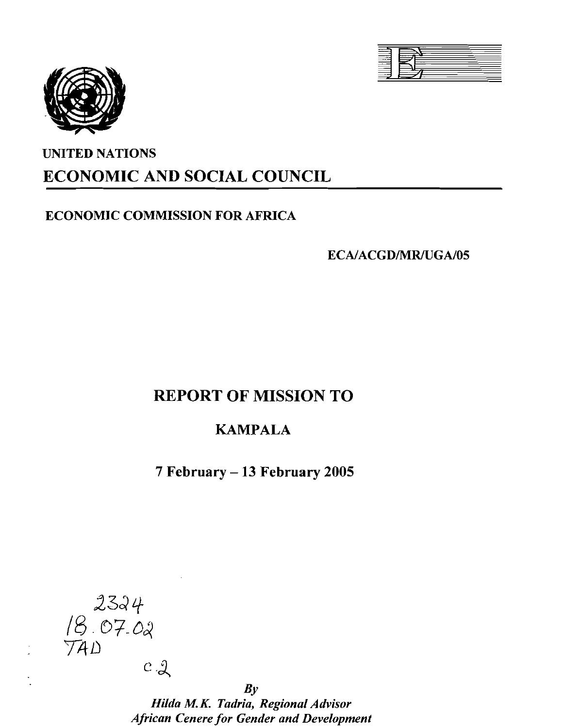



# UNITED NATIONS ECONOMIC AND SOCIAL COUNCIL

# ECONOMIC COMMISSION FOR AFRICA

ECA/ACGD/MR/UGA/05

# REPORT OF MISSION TO

# KAMPALA

7 February - 13 February 2005



 $By$ *Hilda M.K. Tadria, Regional Advisor African Cenere for Gender and Development*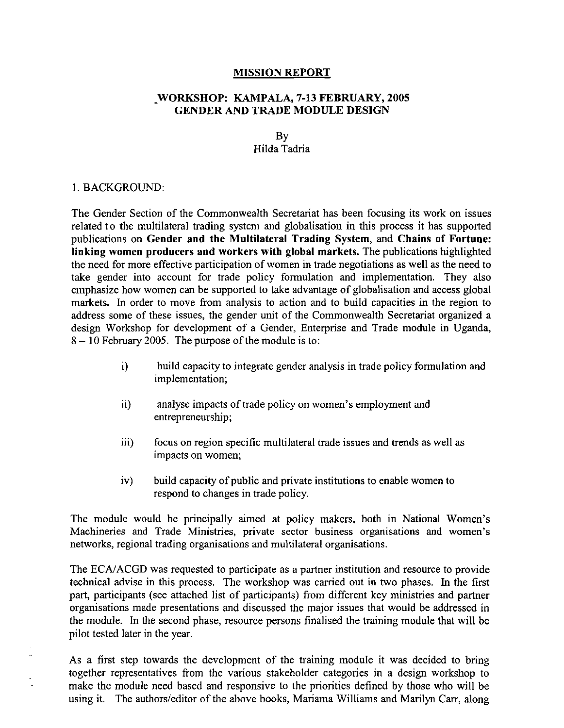### MISSION REPORT

### \_WORKSHOP: KAMPALA, 7-13 FEBRUARY, 2005 GENDER AND TRADE MODULE DESIGN

### By Hilda Tadria

### I. BACKGROUND:

The Gender Section of the Commonwealth Secretariat has been focusing its work on issues related to the multilateral trading system and globalisation in this process it has supported publications on Gender and the Multilateral Trading System, and Chains of Fortune: linking women producers and workers with global markets. The publications highlighted the need for more effective participation of women in trade negotiations as weII as the need to take gender into account for trade policy formulation and implementation. They also emphasize how women can be supported to take advantage of globalisation and access global markets. In order to move from analysis to action and to build capacities in the region to address some of these issues, the gender unit of the Commonwealth Secretariat organized a design Workshop for development of a Gender, Enterprise and Trade module in Uganda,  $8 - 10$  February 2005. The purpose of the module is to:

- i) build capacity to integrate gender analysis in trade policy formulation and implementation;
- ii) analyse impacts of trade policy on women's employment and entrepreneurship;
- iii) focus on region specific multilateral trade issues and trends as weII as impacts on women;
- $iv)$  build capacity of public and private institutions to enable women to respond to changes in trade policy.

The module would be principaIIy aimed at policy makers, both in National Women's Machineries and Trade Ministries, private sector business organisations and women's networks, regional trading organisations and multilateral organisations.

The ECA/ACGD was requested to participate as a partner institution and resource to provide technical advise in this process. The workshop was carried out in two phases. In the first part, participants (see attached list of participants) from different key ministries and partner organisations made presentations and discussed the major issues that would be addressed in the module. In the second phase, resource persons finalised the training module that will be pilot tested later in the year.

As a first step towards the development of the training module it was decided to bring together representatives from the various stakeholder categories in a design workshop to make the module need based and responsive to the priorities defined by those who wiII be using it. The authors/editor of the above books, Mariama Williams and Marilyn Carr, along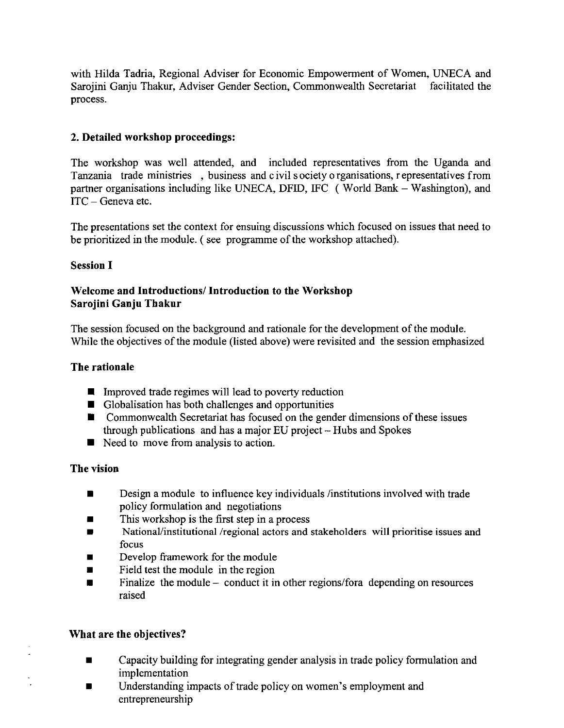with Hilda Tadria, Regional Adviser for Economic Empowerment of Women, UNECA and Sarojini Ganju Thakur, Adviser Gender Section, Commonwealth Secretariat facilitated the process.

# **2. Detailed workshop proceedings:**

The workshop was well attended, and included representatives from the Uganda and Tanzania trade ministries , business and civil society organisations, representatives from partner organisations including like UNECA, DFID, IFC (World Bank - Washington), and ITC - Geneva etc.

The presentations set the context for ensuing discussions which focused on issues that need to be prioritized in the module. (see programme of the workshop attached).

# **Session I**

# **Welcome and Introductions/ Introduction to the Workshop Sarojini Ganju Thakur**

The session focused on the background and rationale for the development of the module. While the objectives of the module (listed above) were revisited and the session emphasized

### **The rationale**

- $\blacksquare$  Improved trade regimes will lead to poverty reduction
- **•** Globalisation has both challenges and opportunities
- $\blacksquare$  Commonwealth Secretariat has focused on the gender dimensions of these issues through publications and has a major EU project -- Hubs and Spokes
- **Need to move from analysis to action.**

# **The vision**

- **Design a module to influence key individuals /institutions involved with trade** policy formulation and negotiations
- $\blacksquare$  This workshop is the first step in a process
- National/institutional/regional actors and stakeholders will prioritise issues and focus
- Develop framework for the module
- Field test the module in the region
- $\blacksquare$  Finalize the module conduct it in other regions/fora depending on resources raised

# **What are the objectives?**

- Capacity building for integrating gender analysis in trade policy formulation and implementation
- Understanding impacts of trade policy on women's employment and entrepreneurship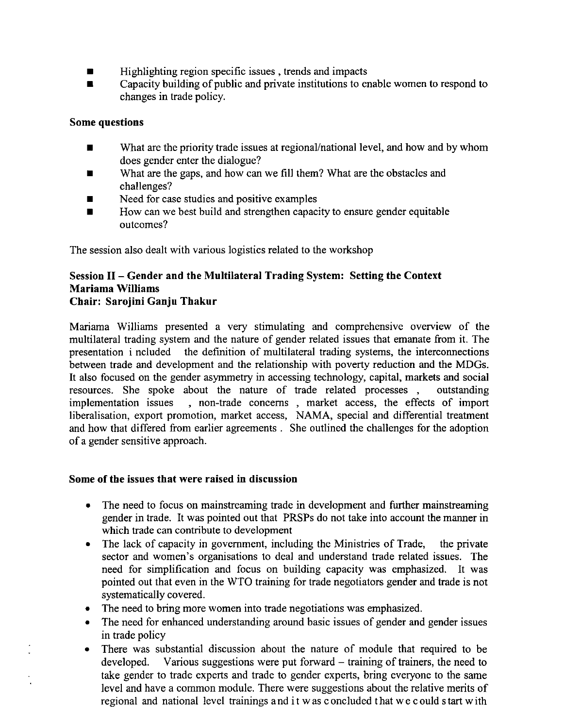- $\blacksquare$  Highlighting region specific issues, trends and impacts
- $\blacksquare$  Capacity building of public and private institutions to enable women to respond to changes in trade policy.

### Some questions

- What are the priority trade issues at regional/national level, and how and by whom does gender enter the dialogue?
- What are the gaps, and how can we fill them? What are the obstacles and challenges?
- $\blacksquare$  Need for case studies and positive examples
- $\blacksquare$  How can we best build and strengthen capacity to ensure gender equitable outcomes?

The session also dealt with various logistics related to the workshop

### Session II - Gender and the Multilateral Trading System: Setting the Context Mariama Williams Chair: Sarojini Ganju Thakur

Mariama Williams presented a very stimulating and comprehensive overview of the multilateral trading system and the nature of gender related issues that emanate from it. The presentation included the definition of multilateral trading systems, the interconnections between trade and development and the relationship with poverty reduction and the MDGs. It also focused on the gender asymmetry in accessing technology, capital, markets and social resources. She spoke about the nature of trade related processes, outstanding implementation issues , non-trade concerns , market access, the effects of import liberalisation, export promotion, market access, NAMA, special and differential treatment and how that differed from earlier agreements. She outlined the challenges for the adoption of a gender sensitive approach.

### Some of the issues that were raised in discussion

- The need to focus on mainstreaming trade in development and further mainstreaming gender in trade. It was pointed out that PRSPs do not take into account the manner in which trade can contribute to development
- The lack of capacity in government, including the Ministries of Trade, the private sector and women's organisations to deal and understand trade related issues. The need for simplification and focus on building capacity was emphasized. It was pointed out that even in the WTO training for trade negotiators gender and trade is not systematically covered.
- The need to bring more women into trade negotiations was emphasized.
- The need for enhanced understanding around basic issues of gender and gender issues in trade policy
- There was substantial discussion about the nature of module that required to be developed. Various suggestions were put forward – training of trainers, the need to take gender to trade experts and trade to gender experts, bring everyone to the same level and have a common module. There were suggestions about the relative merits of regional and national level trainings and it was concluded that we could start with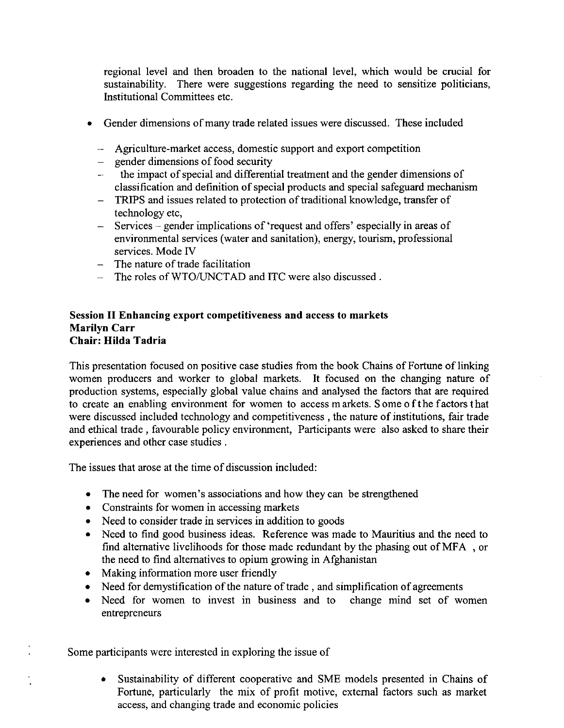regional level and then broaden to the national level, which would be crucial for sustainability. There were suggestions regarding the need to sensitize politicians, Institutional Committees etc.

- Gender dimensions ofmany trade related issues were discussed. These included
	- Agriculture-market access, domestic support and export competition
	- $-$  gender dimensions of food security
	- the impact of special and differential treatment and the gender dimensions of classification and definition of special products and special safeguard mechanism
	- TRIPS and issues related to protection of traditional knowledge, transfer of technology etc,
	- Services gender implications of 'request and offers' especially in areas of environmental services (water and sanitation), energy, tourism, professional services. Mode IV
	- $-$  The nature of trade facilitation
	- The roles of WTO/UNCTAD and ITC were also discussed.

### Session II Enhancing export competitiveness and access to markets Marilyn Carr Chair: Hilda Tadria

This presentation focused on positive case studies from the book Chains of Fortune of linking women producers and worker to global markets. It focused on the changing nature of production systems, especially global value chains and analysed the factors that are required to create an enabling environment for women to access markets. Some <sup>0</sup> fthe factors that were discussed included technology and competitiveness, the nature of institutions, fair trade and ethical trade, favourable policy environment, Participants were also asked to share their experiences and other case studies.

The issues that arose at the time of discussion included:

- The need for women's associations and how they can be strengthened
- Constraints for women in accessing markets
- Need to consider trade in services in addition to goods
- Need to find good business ideas. Reference was made to Mauritius and the need to find alternative livelihoods for those made redundant by the phasing out of MFA , or the need to find alternatives to opium growing in Afghanistan
- Making information more user friendly
- Need for demystification of the nature of trade, and simplification of agreements
- Need for women to invest in business and to change mind set of women entrepreneurs

Some participants were interested in exploring the issue of

• Sustainability of different cooperative and SME models presented in Chains of Fortune, particularly the mix of profit motive, external factors such as market access, and changing trade and economic policies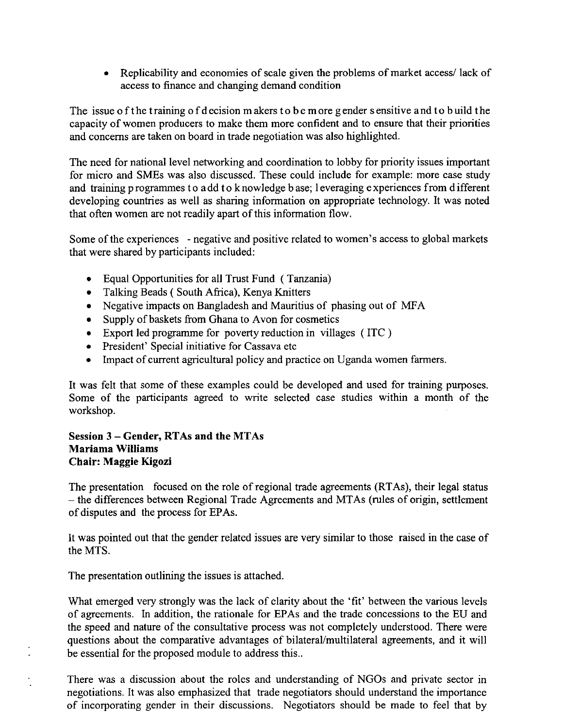• Replicability and economies of scale given the problems of market access/lack of access to finance and changing demand condition

The issue of the training of decision makers to be more gender sensitive and to build the capacity of women producers to make them more confident and to ensure that their priorities and concerns are taken on board in trade negotiation was also highlighted.

The need for national level networking and coordination to lobby for priority issues important for micro and SMEs was also discussed. These could include for example: more case study and training programmes to add to knowledge base; 1everaging experiences from different developing countries as well as sharing information on appropriate technology. It was noted that often women are not readily apart of this information flow.

Some of the experiences - negative and positive related to women's access to global markets that were shared by participants included:

- Equal Opportunities for all Trust Fund (Tanzania)
- Talking Beads ( South Africa), Kenya Knitters
- Negative impacts on Bangladesh and Mauritius of phasing out of MFA
- Supply of baskets from Ghana to Avon for cosmetics
- Export led programme for poverty reduction in villages (ITC)
- President' Special initiative for Cassava etc
- Impact of current agricultural policy and practice on Uganda women farmers.

It was felt that some of these examples could be developed and used for training purposes. Some of the participants agreed to write selected case studies within a month of the workshop.

## **Session 3 - Gender, RTAs and the MTAs Mariama Williams Chair: Maggie Kigozi**

The presentation focused on the role of regional trade agreements (RTAs), their legal status - the differences between Regional Trade Agreements and MTAs (rules of origin, settlement of disputes and the process for EPAs.

It was pointed out that the gender related issues are very similar to those raised in the case of the MTS.

The presentation outlining the issues is attached.

What emerged very strongly was the lack of clarity about the 'fit' between the various levels of agreements. In addition, the rationale for EPAs and the trade concessions to the EU and the speed and nature of the consultative process was not completely understood. There were questions about the comparative advantages of bilateral/multilateral agreements, and it will be essential for the proposed module to address this..

There was a discussion about the roles and understanding of NGOs and private sector in negotiations. It was also emphasized that trade negotiators should understand the importance of incorporating gender in their discussions. Negotiators should be made to feel that by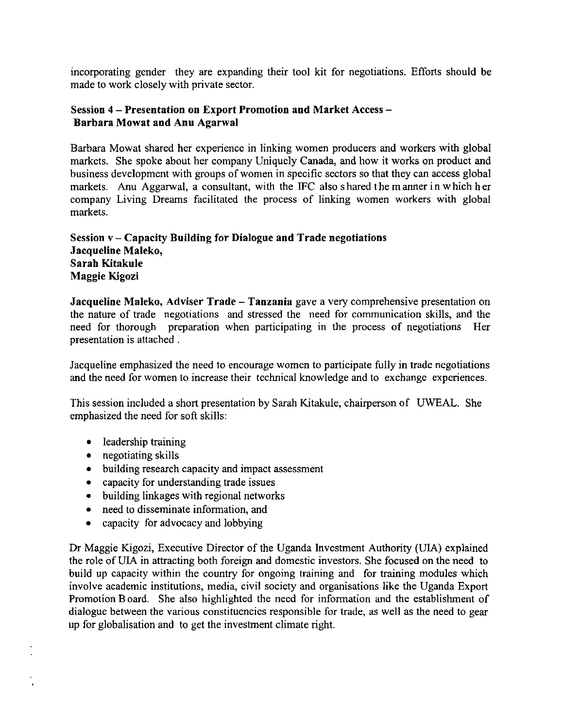incorporating gender they are expanding their tool kit for negotiations. Efforts should be made to work closely with private sector.

## Session 4 - Presentation on Export Promotion and Market Access -Barbara Mowat and Anu Agarwal

Barbara Mowat shared her experience in linking women producers and workers with global markets. She spoke about her company Uniquely Canada, and how it works on product and business development with groups of women in specific sectors so that they can access global markets. Anu Aggarwal, a consultant, with the IFC also shared the manner in which her company Living Dreams facilitated the process of linking women workers with global markets.

# Session  $v -$  Capacity Building for Dialogue and Trade negotiations Jacqueline Maleko, Sarah Kitakule Maggie Kigozi

Jacqueline Maleko, Adviser Trade - Tanzania gave a very comprehensive presentation on the nature of trade negotiations and stressed the need for communication skills, and the need for thorough preparation when participating in the process of negotiations Her presentation is attached.

Jacqueline emphasized the need to encourage women to participate fully in trade negotiations and the need for women to increase their technical knowledge and to exchange experiences.

This session included a short presentation by Sarah Kitakule, chairperson of UWEAL. She emphasized the need for soft skills:

- leadership training
- negotiating skills
- building research capacity and impact assessment
- capacity for understanding trade issues
- building linkages with regional networks
- need to disseminate information, and
- capacity for advocacy and lobbying

Dr Maggie Kigozi, Executive Director of the Uganda Investment Authority (UIA) explained the role of UIA in attracting both foreign and domestic investors. She focused on the need to build up capacity within the country for ongoing training and for training modules which involve academic institutions, media, civil society and organisations like the Uganda Export Promotion Board. She also highlighted the need for information and the establishment of dialogue between the various constituencies responsible for trade, as well as the need to gear up for globalisation and to get the investment climate right.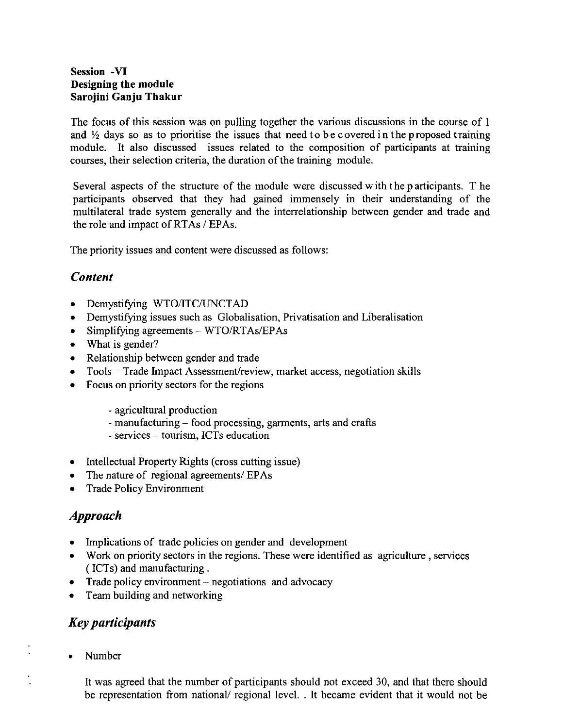## **Session -VI Designing the module Sarojini Ganju Thakur**

The focus of this session was on pulling together the various discussions in the course of I and  $\frac{1}{2}$  days so as to prioritise the issues that need to be covered in the proposed training module. It also discussed issues related to the composition of participants at training courses, their selection criteria, the duration of the training module.

Several aspects of the structure of the module were discussed with the participants. T he participants observed that they had gained immensely in their understanding of the multilateral trade system generally and the interrelationship between gender and trade and the role and impact of RTAs / EPAs.

The priority issues and content were discussed as follows:

# *Content*

- Demystifying WTO/ITC/UNCTAD
- Demystifying issues such as Globalisation, Privatisation and Liberalisation
- Simplifying agreements WTO/RTAs/EPAs
- What is gender?
- Relationship between gender and trade
- Tools Trade Impact Assessment/review, market access, negotiation skills
- Focus on priority sectors for the regions
	- agricultural production
	- manufacturing food processing, garments, arts and crafts
	- services tourism, ICTs education
- Intellectual Property Rights (cross cutting issue)
- The nature of regional agreements/ EPAs
- Trade Policy Environment

# *Approach*

- Implications of trade policies on gender and development
- Work on priority sectors in the regions. These were identified as agriculture, services (ICTs) and manufacturing.
- Trade policy environment  $-$  negotiations and advocacy
- Team building and networking

# *Key participants*

• Number

It was agreed that the number of participants should not exceed 30, and that there should be representation from national/ regional level. . It became evident that it would not be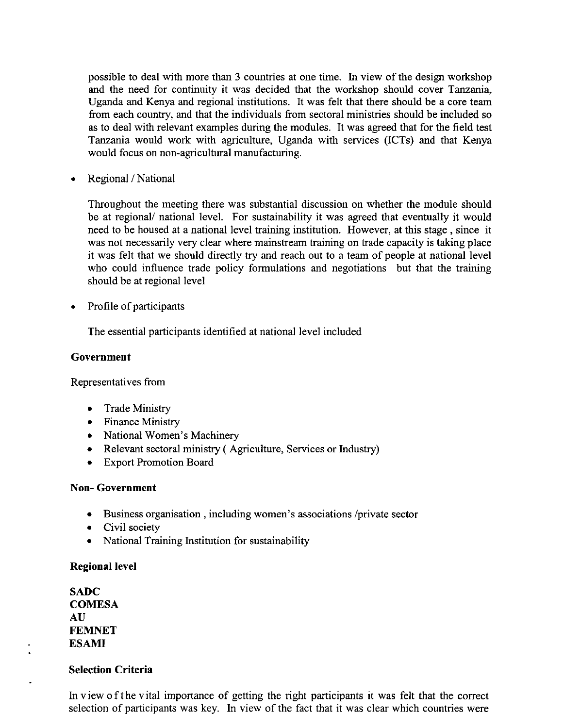possible to deal with more than 3 countries at one time. In view of the design workshop and the need for continuity it was decided that the workshop should cover Tanzania, Uganda and Kenya and regional institutions. It was felt that there should be a core team from each country, and that the individuals from sectoral ministries should be included so as to deal with relevant examples during the modules. It was agreed that for the field test Tanzania would work with agriculture, Uganda with services (lCTs) and that Kenya would focus on non-agricultural manufacturing.

• Regional / National

Throughout the meeting there was substantial discussion on whether the module should be at regional/ national level. For sustainability it was agreed that eventually it would need to be housed at a national level training institution. However, at this stage, since it was not necessarily very clear where mainstream training on trade capacity is taking place it was felt that we should directly try and reach out to a team of people at national level who could influence trade policy formulations and negotiations but that the training should be at regional level

• Profile of participants

The essential participants identified at national level included

### **Government**

Representatives from

- Trade Ministry
- Finance Ministry
- National Women's Machinery
- Relevant sectoral ministry ( Agriculture, Services or Industry)
- Export Promotion Board

# **Non- Government**

- Business organisation, including women's associations /private sector
- Civil society
- National Training Institution for sustainability

# Regional level

**SADC COMESA** AU **FEMNET ESAMI**

# **Selection Criteria**

In view <sup>0</sup> fthe vital importance of getting the right participants it was felt that the correct selection of participants was key. In view of the fact that it was clear which countries were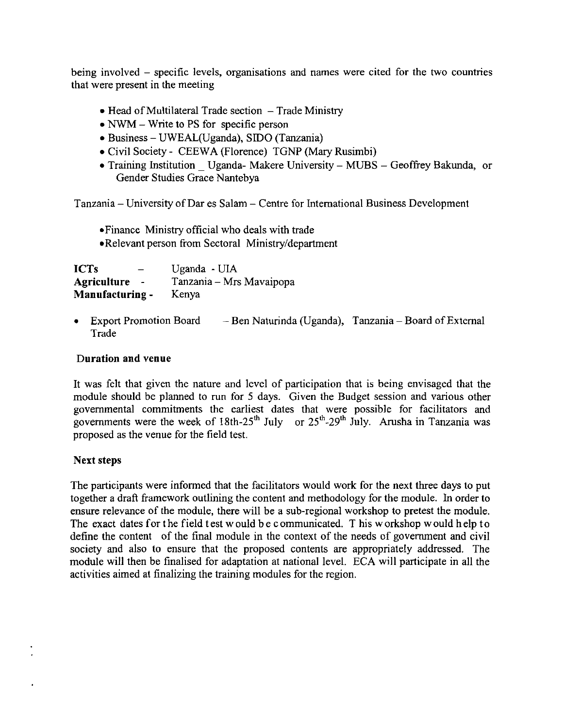being involved – specific levels, organisations and names were cited for the two countries that were present in the meeting

- $\bullet$  Head of Multilateral Trade section  $-$  Trade Ministry
- NWM Write to PS for specific person
- Business UWEAL(Uganda), SIDO (Tanzania)
- Civil Society CEEWA (Florence) TGNP (Mary Rusimbi)
- Training Institution Uganda- Makere University MUBS Geoffrey Bakunda, or Gender Studies Grace Nantebya

Tanzania - University of Dar es Salam - Centre for International Business Development

- -Finance Ministry official who deals with trade
- -Relevant person from Sectoral Ministry/department

| <b>ICTs</b>        | Uganda - UIA             |
|--------------------|--------------------------|
| <b>Agriculture</b> | Tanzania – Mrs Mavaipopa |
| Manufacturing -    | Kenya                    |

• Export Promotion Board — Ben Naturinda (Uganda), Tanzania – Board of External Trade

### **Duration and venue**

It was felt that given the nature and level of participation that is being envisaged that the module should be planned to run for 5 days. Given the Budget session and various other governmental commitments the earliest dates that were possible for facilitators and governments were the week of 18th-25<sup>th</sup> July or 25<sup>th</sup>-29<sup>th</sup> July. Arusha in Tanzania was proposed as the venue for the field test.

### **Next steps**

The participants were informed that the facilitators would work for the next three days to put together a draft framework outlining the content and methodology for the module. In order to ensure relevance of the module, there will be a sub-regional workshop to pretest the module. The exact dates for the field test would be communicated. This workshop would help to define the content of the final module in the context of the needs of government and civil society and also to ensure that the proposed contents are appropriately addressed. The module will then be finalised for adaptation at national level. ECA will participate in all the activities aimed at finalizing the training modules for the region.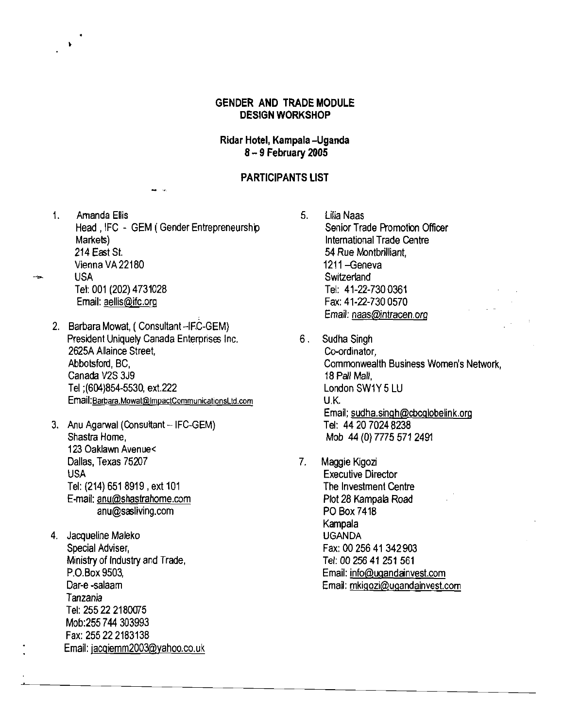### **GENDER AND TRADE MODULE DESIGN WORKSHOP**

### **Ridar Hotel, Kampala -Uganda** 8 - **9 February 2005**

### **PARTICIPANTS LIST**

- 1. Amanda Ellis 6. Lilia Naas<br>Head JFC GEM (Gender Entrepreneurship Senior Trade Promotion Officer Head, IFC - GEM ( Gender Entrepreneurship Markets) Markets) International Trade Centre Vienna VA 22180<br>
USA 1211 -- Switzerland We have been a series of the series of the series of the series of the series of the series of the series of the series of the series of the series of the series of the series of the series of the series of the series of t Tel: 001 (202) 4731028 Tel: 41-22-7300361
	-

•

- 2. Barbara Mowat, (Consultant-IFC-GEM) President Uniquely Canada Enterprises Inc. 6. Sudha Singh 2625A Allaince Street, Co-ordinator, Co-ordinator, Canada V2S 3J9 18 Pall Mall, Tel ;(604)854-5530, ext.222 London SW1Y 5 LU Email:Barbara.Mowat@ImpactCommunicationsLtd.com U.K.
- 3. Anu Agarwal (Consultant -- IFC-GEM)<br>Shastra Home. 123 Oaklawn Avenue< Dallas, Texas 75207 7. Maggie Kigozi USA Executive Director Tel: (214) 651 8919 ,ext 101 The Investment Centre E-mail: anu@shastrahome.com Plot 28 Kampala Road anu@sasliving.com PO Box 7418
- 4. Jacqueline Maleko Special Adviser, England Special Adviser, Fax: 00 256 41 342 903 Ministry of Industry and Trade, The Contract of the Tel: 00 256 41 251 561 Tanzania Tel: 255 22 2180075 Mob:255744 303993 Fax: 255222183138 Email: jacgiemm2003@yahoo.co.uk
- 54 Rue Montbrilliant, Email: aellis@ifc.org Fax: 41-22-730 0570 Email: naas@intracen,org
- Abbotsford, BC, and the common commonwealth Business Women's Network, Email; sudha.singh@cbcglobelink.org<br>Tel: 44 20 7024 8238 Mob 44 (0) 7775 571 2491
- Kampala<br>UGANDA P.O.Box 9503, Email: info@ugandainvest.com Dar-e -salaam Email: mkigozi@ugandainvest.com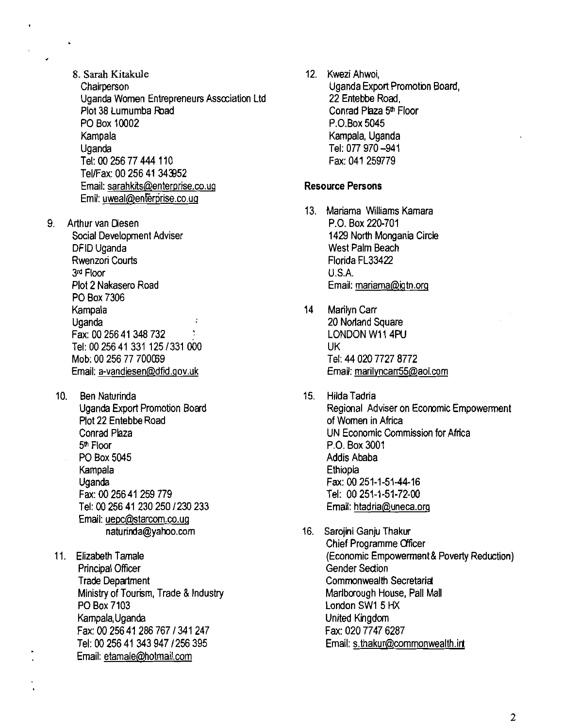- 8. Sarah Kitakule **Chairperson** Uganda Women Entrepreneurs Asscciation Ltd Plot 38 Lumumba Road PO Box 10002 Kampala Uganda Tel: 00 256 77 444 110 Tel/Fax: 00 256 41 343952 Email: sarahkits@enterprise.co.ug Emil: uweal@enferprise.co.ug
- 9. Arthur van Diesen Social Development Adviser DFID Uganda Rwenzori Courts 3rd Floor Plot 2 Nakasero Road PO Box 7306 Kampala Uganda ţ Fax: 00 256 41 348 732 Tel: 00 256 41 331125/331 000 Mob: 00 256 77 700009 Email: a-vandiesen@dfid.gov.uk
	- 10. Ben Naturinda Uganda Export Promotion Board Plot 22 Entebbe Road Conrad Plaza 5<sup>th</sup> Floor PO Box 5045 Kampala Uganda Fax: 00 25641 259 779 Tel: 00 256 41230250/230 233 Email: uepc@starcom.co.ug naturinda@yahoo.com
	- 11. Elizabeth Tamale Principal Officer Trade Department Ministry of Tourism, Trade & Industry PO Box 7103 Kampala, Uganda Fax: 00 25641 286 767 /341 247 Tel: 00 256 41343947/256395 Email: etamale@hotmail.com

12. Kwezi Ahwoi, Uganda Export Promotion Board, 22 Entebbe Road, Conrad Plaza 5th Floor P.O.Box 5045 Kampala, Uganda Tel: 077 970 -941 Fax: 041 259779

### Resource Persons

- 13. Mariama Williams Kamara P.O. Box 220-701 1429 North Mongania Circle West Palm Beach Florida FL33422 U.S.A. Email: mariama@igtn.org
- 14 Marilyn Carr 20 Norland Square LONDON W11 4PU UK Tel: 44020 7727 8772 Email: marilyncarr55@aol.com
- 15. Hilda Tadria Regional Adviser on Economic Empowerment ofWomen in Africa UN Economic Commission for Africa P.O. Box 3001 Addis Ababa Ethiopia Fax: 00251-1-5144-16 Tel: 00251-1-51-72-00 Email: htadria@uneca.org
- 16. Sarojini Ganju Thakur Chief Programme Officer (Economic Empowerrnent& Poverty Reduction) Gender Sedion Commonwealth Secretariat Marlborough House, Pall Mall London SW1 5 HX United Kingdom Fax: 020 7747 6287 Email: s.thakur@commonwealth.irt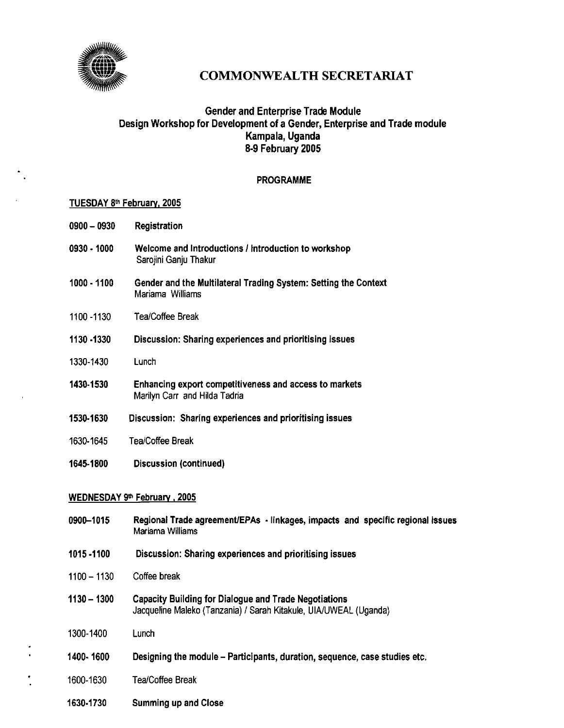

# COMMONWEALTH SECRETARIAT

# **Gender and Enterprise Trade Module** Design Workshop for Development of a Gender, Enterprise and Trade module Kampala, Uganda 8-9 February 2005

### PROGRAMME

#### TUESDAY 8th February, 2005

- 0900 0930 Registration
- 0930 1000 Welcome and Introductions / Introduction to workshop Sarojini Ganju Thakur
- 1000 1100 Gender and the Multilateral Trading System: Setting the Context Mariama Williams
- 1100 -1130 Tea/Coffee Break
- 1130 ·1330 Discussion: Sharing experiences and prioritising issues
- 1330-1430 Lunch
- 1430·1530 Enhancing export competitiveness and access to markets Marilyn Carr and Hilda Tadria
- 1530-1630 Discussion: Sharing experiences and prioritising issues
- 1630-1645 Tea/Coffee Break
- 1645-1800 Discussion (continued)

#### WEDNESDAY 9th February, 2005

- 0900-1015 Regional Trade agreement/EPAs • linkages, impacts and specific regional issues Mariama Williams
- 1015 ·1100 Discussion: Sharing experiences and prioritising issues
- 1100-1130 Coffee break
- $1130 1300$ Capacity Building for Dialogue and Trade Negotiations Jacqueline Maleko (Tanzania) / Sarah Kitakule, UIAlUWEAL (Uganda)
- 1300-1400 Lunch
- 1400- 1600 Designing the module - Participants, duration, sequence, case studies etc.
- 1600-1630 Tea/Coffee Break
	- 1630·1730 Summing up and Close